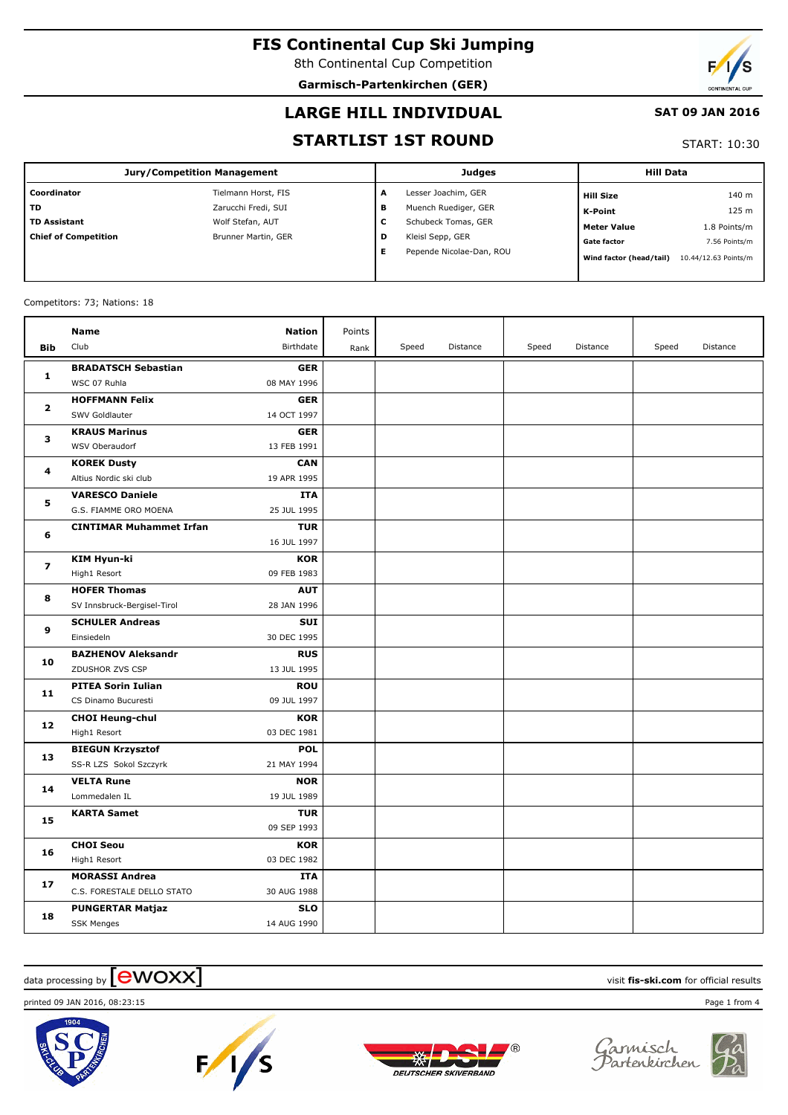8th Continental Cup Competition **Garmisch-Partenkirchen (GER)**

## **LARGE HILL INDIVIDUAL**

### **SAT 09 JAN 2016**

## **STARTLIST 1ST ROUND**

START: 10:30

| Jury/Competition Management |                     |   | Judges                   | <b>Hill Data</b>        |                      |  |
|-----------------------------|---------------------|---|--------------------------|-------------------------|----------------------|--|
| Coordinator                 | Tielmann Horst, FIS | A | Lesser Joachim, GER      | <b>Hill Size</b>        | 140 m                |  |
| <b>TD</b>                   | Zarucchi Fredi, SUI | в | Muench Ruediger, GER     | K-Point                 | 125 m                |  |
| <b>TD Assistant</b>         | Wolf Stefan, AUT    | v | Schubeck Tomas, GER      | <b>Meter Value</b>      | 1.8 Points/m         |  |
| <b>Chief of Competition</b> | Brunner Martin, GER | D | Kleisl Sepp, GER         | <b>Gate factor</b>      | 7.56 Points/m        |  |
|                             |                     |   | Pepende Nicolae-Dan, ROU | Wind factor (head/tail) | 10.44/12.63 Points/m |  |
|                             |                     |   |                          |                         |                      |  |

#### Competitors: 73; Nations: 18

|                | Name                           | <b>Nation</b> | Points |       |          |       |          |       |          |
|----------------|--------------------------------|---------------|--------|-------|----------|-------|----------|-------|----------|
| <b>Bib</b>     | Club                           | Birthdate     | Rank   | Speed | Distance | Speed | Distance | Speed | Distance |
| 1              | <b>BRADATSCH Sebastian</b>     | <b>GER</b>    |        |       |          |       |          |       |          |
|                | WSC 07 Ruhla                   | 08 MAY 1996   |        |       |          |       |          |       |          |
| $\overline{2}$ | <b>HOFFMANN Felix</b>          | <b>GER</b>    |        |       |          |       |          |       |          |
|                | SWV Goldlauter                 | 14 OCT 1997   |        |       |          |       |          |       |          |
| 3              | <b>KRAUS Marinus</b>           | <b>GER</b>    |        |       |          |       |          |       |          |
|                | WSV Oberaudorf                 | 13 FEB 1991   |        |       |          |       |          |       |          |
| 4              | <b>KOREK Dusty</b>             | CAN           |        |       |          |       |          |       |          |
|                | Altius Nordic ski club         | 19 APR 1995   |        |       |          |       |          |       |          |
| 5              | <b>VARESCO Daniele</b>         | <b>ITA</b>    |        |       |          |       |          |       |          |
|                | G.S. FIAMME ORO MOENA          | 25 JUL 1995   |        |       |          |       |          |       |          |
| 6              | <b>CINTIMAR Muhammet Irfan</b> | <b>TUR</b>    |        |       |          |       |          |       |          |
|                |                                | 16 JUL 1997   |        |       |          |       |          |       |          |
| $\overline{ }$ | <b>KIM Hyun-ki</b>             | <b>KOR</b>    |        |       |          |       |          |       |          |
|                | High1 Resort                   | 09 FEB 1983   |        |       |          |       |          |       |          |
| 8              | <b>HOFER Thomas</b>            | <b>AUT</b>    |        |       |          |       |          |       |          |
|                | SV Innsbruck-Bergisel-Tirol    | 28 JAN 1996   |        |       |          |       |          |       |          |
| 9              | <b>SCHULER Andreas</b>         | <b>SUI</b>    |        |       |          |       |          |       |          |
|                | Einsiedeln                     | 30 DEC 1995   |        |       |          |       |          |       |          |
| 10             | <b>BAZHENOV Aleksandr</b>      | <b>RUS</b>    |        |       |          |       |          |       |          |
|                | ZDUSHOR ZVS CSP                | 13 JUL 1995   |        |       |          |       |          |       |          |
| 11             | <b>PITEA Sorin Iulian</b>      | <b>ROU</b>    |        |       |          |       |          |       |          |
|                | CS Dinamo Bucuresti            | 09 JUL 1997   |        |       |          |       |          |       |          |
| 12             | <b>CHOI Heung-chul</b>         | <b>KOR</b>    |        |       |          |       |          |       |          |
|                | High1 Resort                   | 03 DEC 1981   |        |       |          |       |          |       |          |
| 13             | <b>BIEGUN Krzysztof</b>        | <b>POL</b>    |        |       |          |       |          |       |          |
|                | SS-R LZS Sokol Szczyrk         | 21 MAY 1994   |        |       |          |       |          |       |          |
| 14             | <b>VELTA Rune</b>              | <b>NOR</b>    |        |       |          |       |          |       |          |
|                | Lommedalen IL                  | 19 JUL 1989   |        |       |          |       |          |       |          |
| 15             | <b>KARTA Samet</b>             | <b>TUR</b>    |        |       |          |       |          |       |          |
|                |                                | 09 SEP 1993   |        |       |          |       |          |       |          |
| 16             | <b>CHOI Seou</b>               | <b>KOR</b>    |        |       |          |       |          |       |          |
|                | High1 Resort                   | 03 DEC 1982   |        |       |          |       |          |       |          |
| 17             | <b>MORASSI Andrea</b>          | <b>ITA</b>    |        |       |          |       |          |       |          |
|                | C.S. FORESTALE DELLO STATO     | 30 AUG 1988   |        |       |          |       |          |       |          |
| 18             | <b>PUNGERTAR Matjaz</b>        | <b>SLO</b>    |        |       |          |       |          |       |          |
|                | <b>SSK Menges</b>              | 14 AUG 1990   |        |       |          |       |          |       |          |

## $\frac{1}{2}$  data processing by  $\boxed{\text{ewOX}}$

printed 09 JAN 2016, 08:23:15 Page 1 from 4









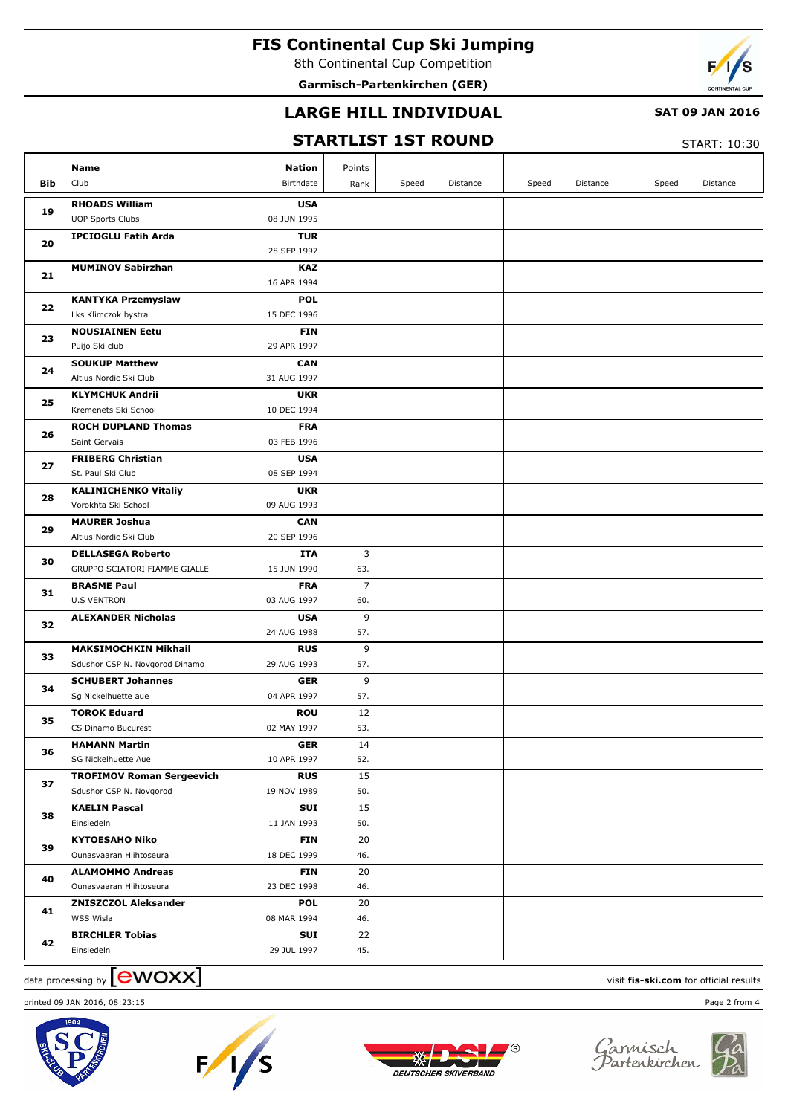8th Continental Cup Competition

**Garmisch-Partenkirchen (GER)**



### **LARGE HILL INDIVIDUAL**

### **SAT 09 JAN 2016**

## **STARTLIST 1ST ROUND**

START: 10:30

| Bib      | Name<br>Club                             | <b>Nation</b><br>Birthdate | Points<br>Rank        | Speed | Distance | Speed | Distance | Speed | Distance |
|----------|------------------------------------------|----------------------------|-----------------------|-------|----------|-------|----------|-------|----------|
|          | <b>RHOADS William</b>                    | <b>USA</b>                 |                       |       |          |       |          |       |          |
| 19       | <b>UOP Sports Clubs</b>                  | 08 JUN 1995                |                       |       |          |       |          |       |          |
| 20       | <b>IPCIOGLU Fatih Arda</b>               | <b>TUR</b>                 |                       |       |          |       |          |       |          |
|          |                                          | 28 SEP 1997                |                       |       |          |       |          |       |          |
| 21       | <b>MUMINOV Sabirzhan</b>                 | <b>KAZ</b>                 |                       |       |          |       |          |       |          |
|          |                                          | 16 APR 1994                |                       |       |          |       |          |       |          |
| 22       | <b>KANTYKA Przemyslaw</b>                | <b>POL</b>                 |                       |       |          |       |          |       |          |
|          | Lks Klimczok bystra                      | 15 DEC 1996                |                       |       |          |       |          |       |          |
| 23       | <b>NOUSIAINEN Eetu</b>                   | <b>FIN</b>                 |                       |       |          |       |          |       |          |
|          | Puijo Ski club                           | 29 APR 1997                |                       |       |          |       |          |       |          |
| 24       | <b>SOUKUP Matthew</b>                    | <b>CAN</b>                 |                       |       |          |       |          |       |          |
|          | Altius Nordic Ski Club                   | 31 AUG 1997                |                       |       |          |       |          |       |          |
| 25       | <b>KLYMCHUK Andrii</b>                   | <b>UKR</b>                 |                       |       |          |       |          |       |          |
|          | Kremenets Ski School                     | 10 DEC 1994                |                       |       |          |       |          |       |          |
| 26       | <b>ROCH DUPLAND Thomas</b>               | <b>FRA</b>                 |                       |       |          |       |          |       |          |
|          | Saint Gervais                            | 03 FEB 1996                |                       |       |          |       |          |       |          |
| 27       | <b>FRIBERG Christian</b>                 | <b>USA</b>                 |                       |       |          |       |          |       |          |
|          | St. Paul Ski Club                        | 08 SEP 1994                |                       |       |          |       |          |       |          |
| 28       | <b>KALINICHENKO Vitaliy</b>              | <b>UKR</b>                 |                       |       |          |       |          |       |          |
| 29<br>30 | Vorokhta Ski School                      | 09 AUG 1993                |                       |       |          |       |          |       |          |
|          | <b>MAURER Joshua</b>                     | <b>CAN</b>                 |                       |       |          |       |          |       |          |
|          | Altius Nordic Ski Club                   | 20 SEP 1996                |                       |       |          |       |          |       |          |
|          | <b>DELLASEGA Roberto</b>                 | <b>ITA</b>                 | 3                     |       |          |       |          |       |          |
| 31       | GRUPPO SCIATORI FIAMME GIALLE            | 15 JUN 1990                | 63.                   |       |          |       |          |       |          |
|          | <b>BRASME Paul</b><br><b>U.S VENTRON</b> | <b>FRA</b><br>03 AUG 1997  | $\overline{7}$<br>60. |       |          |       |          |       |          |
|          | <b>ALEXANDER Nicholas</b>                | <b>USA</b>                 | 9                     |       |          |       |          |       |          |
| 32       |                                          | 24 AUG 1988                | 57.                   |       |          |       |          |       |          |
|          | <b>MAKSIMOCHKIN Mikhail</b>              | <b>RUS</b>                 | 9                     |       |          |       |          |       |          |
| 33       | Sdushor CSP N. Novgorod Dinamo           | 29 AUG 1993                | 57.                   |       |          |       |          |       |          |
|          | <b>SCHUBERT Johannes</b>                 | <b>GER</b>                 | 9                     |       |          |       |          |       |          |
| 34       | Sq Nickelhuette aue                      | 04 APR 1997                | 57.                   |       |          |       |          |       |          |
|          | <b>TOROK Eduard</b>                      | <b>ROU</b>                 | 12                    |       |          |       |          |       |          |
| 35       | CS Dinamo Bucuresti                      | 02 MAY 1997                | 53.                   |       |          |       |          |       |          |
|          | <b>HAMANN Martin</b>                     | <b>GER</b>                 | 14                    |       |          |       |          |       |          |
| 36       | SG Nickelhuette Aue                      | 10 APR 1997                | 52.                   |       |          |       |          |       |          |
|          | <b>TROFIMOV Roman Sergeevich</b>         | <b>RUS</b>                 | 15                    |       |          |       |          |       |          |
| 37       | Sdushor CSP N. Novgorod                  | 19 NOV 1989                | 50.                   |       |          |       |          |       |          |
|          | <b>KAELIN Pascal</b>                     | SUI                        | 15                    |       |          |       |          |       |          |
| 38       | Einsiedeln                               | 11 JAN 1993                | 50.                   |       |          |       |          |       |          |
|          | <b>KYTOESAHO Niko</b>                    | <b>FIN</b>                 | 20                    |       |          |       |          |       |          |
| 39       | Ounasvaaran Hiihtoseura                  | 18 DEC 1999                | 46.                   |       |          |       |          |       |          |
|          | <b>ALAMOMMO Andreas</b>                  | <b>FIN</b>                 | 20                    |       |          |       |          |       |          |
| 40       | Ounasvaaran Hiihtoseura                  | 23 DEC 1998                | 46.                   |       |          |       |          |       |          |
| 41       | <b>ZNISZCZOL Aleksander</b>              | <b>POL</b>                 | 20                    |       |          |       |          |       |          |
|          | WSS Wisla                                | 08 MAR 1994                | 46.                   |       |          |       |          |       |          |
| 42       | <b>BIRCHLER Tobias</b>                   | <b>SUI</b>                 | 22                    |       |          |       |          |       |          |
|          | Einsiedeln                               | 29 JUL 1997                | 45.                   |       |          |       |          |       |          |

# data processing by **CWOXX** and  $\overline{A}$  and  $\overline{B}$  wisit **fis-ski.com** for official results











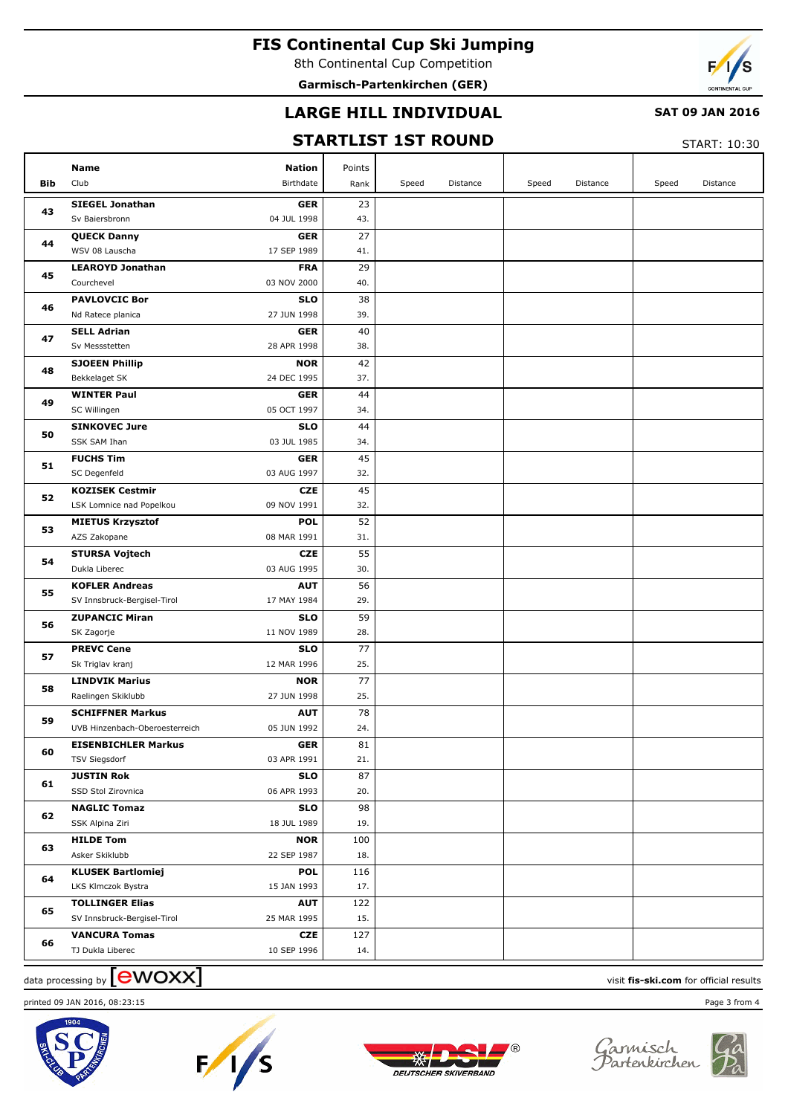8th Continental Cup Competition

**Garmisch-Partenkirchen (GER)**



### **LARGE HILL INDIVIDUAL**

### **SAT 09 JAN 2016**

### **STARTLIST 1ST ROUND**

START: 10:30

|     | Name<br><b>Nation</b>                                | Points                  |       |          |       |          |       |          |
|-----|------------------------------------------------------|-------------------------|-------|----------|-------|----------|-------|----------|
| Bib | Club<br>Birthdate                                    | Rank                    | Speed | Distance | Speed | Distance | Speed | Distance |
|     | <b>SIEGEL Jonathan</b>                               | <b>GER</b><br>23        |       |          |       |          |       |          |
| 43  | Sv Baiersbronn<br>04 JUL 1998                        | 43.                     |       |          |       |          |       |          |
|     | <b>QUECK Danny</b>                                   | 27<br><b>GER</b>        |       |          |       |          |       |          |
| 44  | WSV 08 Lauscha<br>17 SEP 1989                        | 41.                     |       |          |       |          |       |          |
|     | <b>LEAROYD Jonathan</b>                              | <b>FRA</b><br>29        |       |          |       |          |       |          |
| 45  | Courchevel<br>03 NOV 2000                            | 40.                     |       |          |       |          |       |          |
|     | <b>PAVLOVCIC Bor</b>                                 | <b>SLO</b><br>38        |       |          |       |          |       |          |
| 46  | 27 JUN 1998<br>Nd Ratece planica                     | 39.                     |       |          |       |          |       |          |
|     | <b>SELL Adrian</b>                                   | 40<br><b>GER</b>        |       |          |       |          |       |          |
| 47  | Sv Messstetten<br>28 APR 1998                        | 38.                     |       |          |       |          |       |          |
| 48  | <b>SJOEEN Phillip</b>                                | 42<br><b>NOR</b>        |       |          |       |          |       |          |
|     | Bekkelaget SK<br>24 DEC 1995                         | 37.                     |       |          |       |          |       |          |
| 49  | <b>WINTER Paul</b>                                   | 44<br><b>GER</b>        |       |          |       |          |       |          |
|     | SC Willingen<br>05 OCT 1997                          | 34.                     |       |          |       |          |       |          |
| 50  | <b>SINKOVEC Jure</b>                                 | <b>SLO</b><br>44        |       |          |       |          |       |          |
|     | SSK SAM Ihan<br>03 JUL 1985                          | 34.                     |       |          |       |          |       |          |
| 51  | <b>FUCHS Tim</b>                                     | 45<br><b>GER</b>        |       |          |       |          |       |          |
|     | SC Degenfeld<br>03 AUG 1997                          | 32.                     |       |          |       |          |       |          |
| 52  | <b>KOZISEK Cestmir</b>                               | 45<br><b>CZE</b>        |       |          |       |          |       |          |
|     | LSK Lomnice nad Popelkou<br>09 NOV 1991              | 32.                     |       |          |       |          |       |          |
| 53  | <b>MIETUS Krzysztof</b>                              | 52<br><b>POL</b>        |       |          |       |          |       |          |
|     | AZS Zakopane<br>08 MAR 1991                          | 31.                     |       |          |       |          |       |          |
| 54  | <b>STURSA Vojtech</b>                                | 55<br><b>CZE</b>        |       |          |       |          |       |          |
|     | Dukla Liberec<br>03 AUG 1995                         | 30.                     |       |          |       |          |       |          |
| 55  | <b>KOFLER Andreas</b>                                | 56<br><b>AUT</b>        |       |          |       |          |       |          |
|     | SV Innsbruck-Bergisel-Tirol<br>17 MAY 1984           | 29.                     |       |          |       |          |       |          |
| 56  | <b>ZUPANCIC Miran</b>                                | 59<br><b>SLO</b>        |       |          |       |          |       |          |
|     | 11 NOV 1989<br>SK Zagorje                            | 28.<br>77<br><b>SLO</b> |       |          |       |          |       |          |
| 57  | <b>PREVC Cene</b><br>12 MAR 1996<br>Sk Triglav kranj | 25.                     |       |          |       |          |       |          |
|     | <b>LINDVIK Marius</b>                                | 77<br><b>NOR</b>        |       |          |       |          |       |          |
| 58  | Raelingen Skiklubb<br>27 JUN 1998                    | 25.                     |       |          |       |          |       |          |
|     | <b>SCHIFFNER Markus</b>                              | 78<br><b>AUT</b>        |       |          |       |          |       |          |
| 59  | 05 JUN 1992<br>UVB Hinzenbach-Oberoesterreich        | 24.                     |       |          |       |          |       |          |
|     | <b>EISENBICHLER Markus</b>                           | GER<br>81               |       |          |       |          |       |          |
| 60  | 03 APR 1991<br><b>TSV Siegsdorf</b>                  | 21.                     |       |          |       |          |       |          |
|     | <b>JUSTIN Rok</b>                                    | <b>SLO</b><br>87        |       |          |       |          |       |          |
| 61  | SSD Stol Zirovnica<br>06 APR 1993                    | 20.                     |       |          |       |          |       |          |
|     | <b>NAGLIC Tomaz</b>                                  | 98<br><b>SLO</b>        |       |          |       |          |       |          |
| 62  | SSK Alpina Ziri<br>18 JUL 1989                       | 19.                     |       |          |       |          |       |          |
|     | <b>HILDE Tom</b>                                     | <b>NOR</b><br>100       |       |          |       |          |       |          |
| 63  | Asker Skiklubb<br>22 SEP 1987                        | 18.                     |       |          |       |          |       |          |
|     | <b>KLUSEK Bartlomiej</b>                             | <b>POL</b><br>116       |       |          |       |          |       |          |
| 64  | LKS Klmczok Bystra<br>15 JAN 1993                    | 17.                     |       |          |       |          |       |          |
|     | <b>TOLLINGER Elias</b>                               | <b>AUT</b><br>122       |       |          |       |          |       |          |
| 65  | SV Innsbruck-Bergisel-Tirol<br>25 MAR 1995           | 15.                     |       |          |       |          |       |          |
| 66  | <b>VANCURA Tomas</b>                                 | <b>CZE</b><br>127       |       |          |       |          |       |          |
|     | TJ Dukla Liberec<br>10 SEP 1996                      | 14.                     |       |          |       |          |       |          |

# data processing by **CWOXX** and  $\overline{A}$  and  $\overline{B}$  wisit **fis-ski.com** for official results

printed 09 JAN 2016, 08:23:15 Page 3 from 4